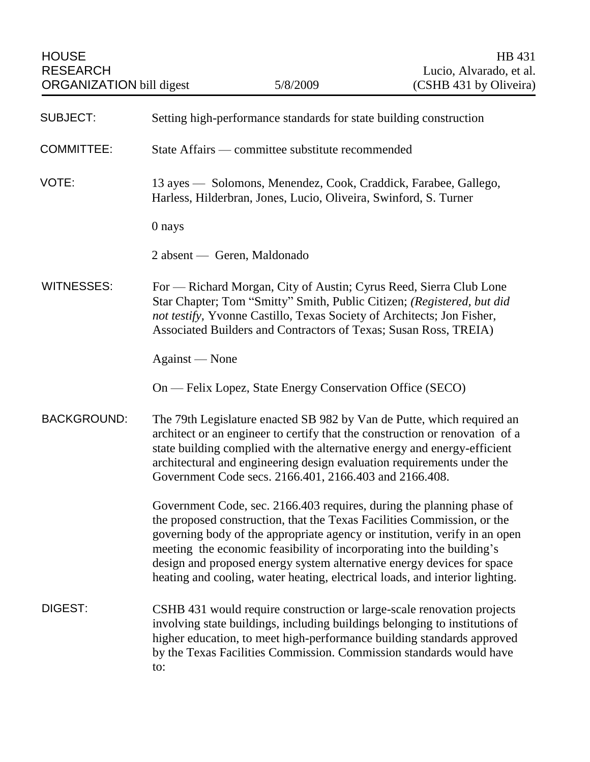| <b>SUBJECT:</b>    | Setting high-performance standards for state building construction                                                                                                                                                                                                                                                                                                                                                                                                |
|--------------------|-------------------------------------------------------------------------------------------------------------------------------------------------------------------------------------------------------------------------------------------------------------------------------------------------------------------------------------------------------------------------------------------------------------------------------------------------------------------|
| <b>COMMITTEE:</b>  | State Affairs — committee substitute recommended                                                                                                                                                                                                                                                                                                                                                                                                                  |
| VOTE:              | 13 ayes — Solomons, Menendez, Cook, Craddick, Farabee, Gallego,<br>Harless, Hilderbran, Jones, Lucio, Oliveira, Swinford, S. Turner                                                                                                                                                                                                                                                                                                                               |
|                    | 0 nays                                                                                                                                                                                                                                                                                                                                                                                                                                                            |
|                    | 2 absent — Geren, Maldonado                                                                                                                                                                                                                                                                                                                                                                                                                                       |
| <b>WITNESSES:</b>  | For — Richard Morgan, City of Austin; Cyrus Reed, Sierra Club Lone<br>Star Chapter; Tom "Smitty" Smith, Public Citizen; (Registered, but did<br>not testify, Yvonne Castillo, Texas Society of Architects; Jon Fisher,<br>Associated Builders and Contractors of Texas; Susan Ross, TREIA)                                                                                                                                                                        |
|                    | Against — None                                                                                                                                                                                                                                                                                                                                                                                                                                                    |
|                    | On — Felix Lopez, State Energy Conservation Office (SECO)                                                                                                                                                                                                                                                                                                                                                                                                         |
| <b>BACKGROUND:</b> | The 79th Legislature enacted SB 982 by Van de Putte, which required an<br>architect or an engineer to certify that the construction or renovation of a<br>state building complied with the alternative energy and energy-efficient<br>architectural and engineering design evaluation requirements under the<br>Government Code secs. 2166.401, 2166.403 and 2166.408.                                                                                            |
|                    | Government Code, sec. 2166.403 requires, during the planning phase of<br>the proposed construction, that the Texas Facilities Commission, or the<br>governing body of the appropriate agency or institution, verify in an open<br>meeting the economic feasibility of incorporating into the building's<br>design and proposed energy system alternative energy devices for space<br>heating and cooling, water heating, electrical loads, and interior lighting. |
| DIGEST:            | CSHB 431 would require construction or large-scale renovation projects<br>involving state buildings, including buildings belonging to institutions of<br>higher education, to meet high-performance building standards approved<br>by the Texas Facilities Commission. Commission standards would have<br>to:                                                                                                                                                     |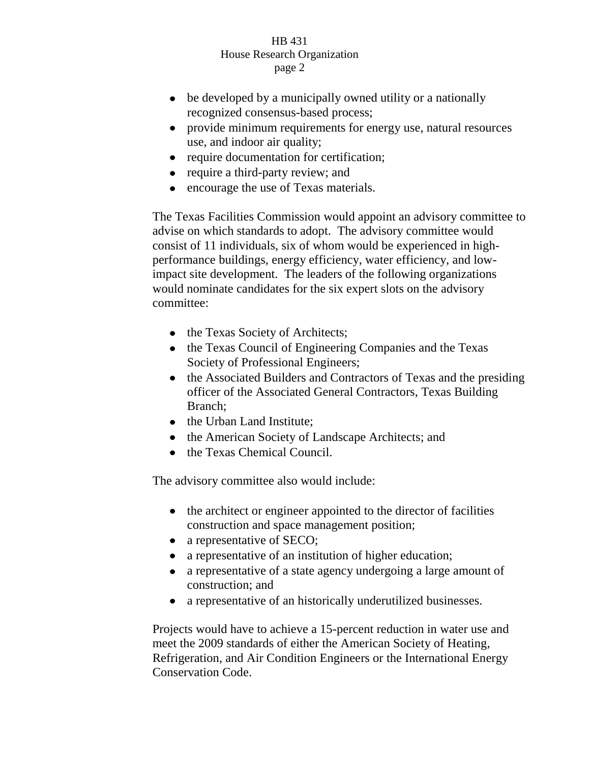## HB 431 House Research Organization page 2

- be developed by a municipally owned utility or a nationally recognized consensus-based process;
- provide minimum requirements for energy use, natural resources use, and indoor air quality;
- require documentation for certification;
- require a third-party review; and
- encourage the use of Texas materials.

The Texas Facilities Commission would appoint an advisory committee to advise on which standards to adopt. The advisory committee would consist of 11 individuals, six of whom would be experienced in highperformance buildings, energy efficiency, water efficiency, and lowimpact site development. The leaders of the following organizations would nominate candidates for the six expert slots on the advisory committee:

- the Texas Society of Architects;
- the Texas Council of Engineering Companies and the Texas Society of Professional Engineers;
- the Associated Builders and Contractors of Texas and the presiding officer of the Associated General Contractors, Texas Building Branch;
- the Urban Land Institute;
- the American Society of Landscape Architects; and
- the Texas Chemical Council.

The advisory committee also would include:

- the architect or engineer appointed to the director of facilities construction and space management position;
- a representative of SECO;
- $\bullet$ a representative of an institution of higher education;
- $\bullet$ a representative of a state agency undergoing a large amount of construction; and
- a representative of an historically underutilized businesses.

Projects would have to achieve a 15-percent reduction in water use and meet the 2009 standards of either the American Society of Heating, Refrigeration, and Air Condition Engineers or the International Energy Conservation Code.